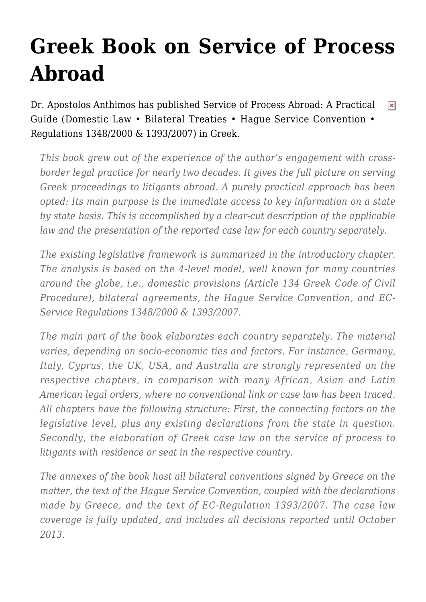## **[Greek Book on Service of Process](https://conflictoflaws.net/2013/greek-book-on-service-of-process-abroad/) [Abroad](https://conflictoflaws.net/2013/greek-book-on-service-of-process-abroad/)**

[Dr. Apostolos Anthimos](http://www.linkedin.com/profile/view?id=100040685&trk=nav_responsive_tab_profile) has published [Service of Process Abroad: A Practical](http://sakkoulas.gr/index.php?page=shop.product_details&category_id=214&flypage=flypage.tpl&product_id=1887&option=com_virtuemart&Itemid=118)  $\pmb{\times}$ [Guide](http://sakkoulas.gr/index.php?page=shop.product_details&category_id=214&flypage=flypage.tpl&product_id=1887&option=com_virtuemart&Itemid=118) (Domestic Law • Bilateral Treaties • Hague Service Convention • Regulations 1348/2000 & 1393/2007) in Greek.

*This book grew out of the experience of the author's engagement with crossborder legal practice for nearly two decades. It gives the full picture on serving Greek proceedings to litigants abroad. A purely practical approach has been opted: Its main purpose is the immediate access to key information on a state by state basis. This is accomplished by a clear-cut description of the applicable law and the presentation of the reported case law for each country separately.*

*The existing legislative framework is summarized in the introductory chapter. The analysis is based on the 4-level model, well known for many countries around the globe, i.e., domestic provisions (Article 134 Greek Code of Civil Procedure), bilateral agreements, the Hague Service Convention, and EC-Service Regulations 1348/2000 & 1393/2007.*

*The main part of the book elaborates each country separately. The material varies, depending on socio-economic ties and factors. For instance, Germany, Italy, Cyprus, the UK, USA, and Australia are strongly represented on the respective chapters, in comparison with many African, Asian and Latin American legal orders, where no conventional link or case law has been traced. All chapters have the following structure: First, the connecting factors on the legislative level, plus any existing declarations from the state in question. Secondly, the elaboration of Greek case law on the service of process to litigants with residence or seat in the respective country.*

*The annexes of the book host all bilateral conventions signed by Greece on the matter, the text of the Hague Service Convention, coupled with the declarations made by Greece, and the text of EC-Regulation 1393/2007. The case law coverage is fully updated, and includes all decisions reported until October 2013.*